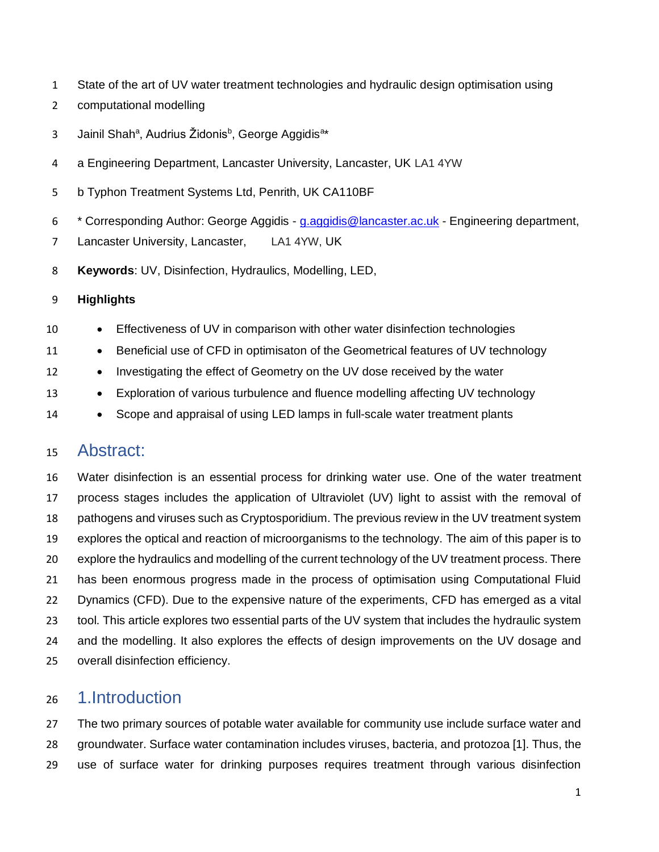- State of the art of UV water treatment technologies and hydraulic design optimisation using
- computational modelling
- 3 Jainil Shah<sup>a</sup>, Audrius Židonis<sup>b</sup>, George Aggidis<sup>a</sup>\*
- a Engineering Department, Lancaster University, Lancaster, UK LA1 4YW
- b Typhon Treatment Systems Ltd, Penrith, UK CA110BF
- <sup>6</sup> \* Corresponding Author: George Aggidis [g.aggidis@lancaster.ac.uk](mailto:g.aggidis@lancaster.ac.uk) Engineering department,

Lancaster University, Lancaster, LA1 4YW, UK

**Keywords**: UV, Disinfection, Hydraulics, Modelling, LED,

## **Highlights**

- Effectiveness of UV in comparison with other water disinfection technologies
- 11 Beneficial use of CFD in optimisaton of the Geometrical features of UV technology
- Investigating the effect of Geometry on the UV dose received by the water
- Exploration of various turbulence and fluence modelling affecting UV technology
- Scope and appraisal of using LED lamps in full-scale water treatment plants

## Abstract:

 Water disinfection is an essential process for drinking water use. One of the water treatment process stages includes the application of Ultraviolet (UV) light to assist with the removal of pathogens and viruses such as Cryptosporidium. The previous review in the UV treatment system explores the optical and reaction of microorganisms to the technology. The aim of this paper is to explore the hydraulics and modelling of the current technology of the UV treatment process. There has been enormous progress made in the process of optimisation using Computational Fluid Dynamics (CFD). Due to the expensive nature of the experiments, CFD has emerged as a vital tool. This article explores two essential parts of the UV system that includes the hydraulic system and the modelling. It also explores the effects of design improvements on the UV dosage and overall disinfection efficiency.

## 1.Introduction

 The two primary sources of potable water available for community use include surface water and groundwater. Surface water contamination includes viruses, bacteria, and protozoa [1]. Thus, the use of surface water for drinking purposes requires treatment through various disinfection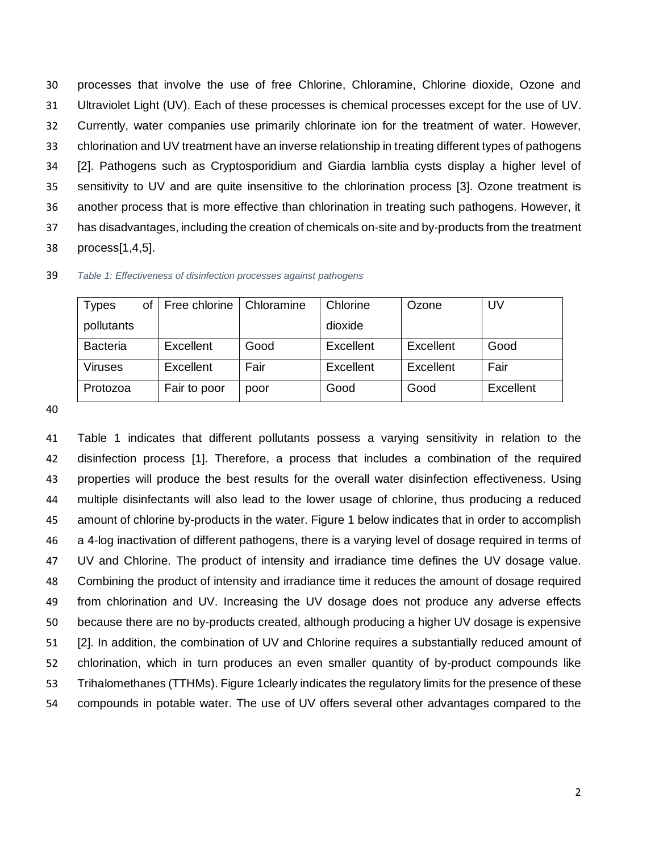processes that involve the use of free Chlorine, Chloramine, Chlorine dioxide, Ozone and Ultraviolet Light (UV). Each of these processes is chemical processes except for the use of UV. Currently, water companies use primarily chlorinate ion for the treatment of water. However, chlorination and UV treatment have an inverse relationship in treating different types of pathogens [2]. Pathogens such as Cryptosporidium and Giardia lamblia cysts display a higher level of sensitivity to UV and are quite insensitive to the chlorination process [3]. Ozone treatment is another process that is more effective than chlorination in treating such pathogens. However, it has disadvantages, including the creation of chemicals on-site and by-products from the treatment process[1,4,5].

| <b>Types</b>    | οf | Free chlorine | Chloramine | Chlorine  | Ozone     | UV        |
|-----------------|----|---------------|------------|-----------|-----------|-----------|
| pollutants      |    |               |            | dioxide   |           |           |
| <b>Bacteria</b> |    | Excellent     | Good       | Excellent | Excellent | Good      |
| Viruses         |    | Excellent     | Fair       | Excellent | Excellent | Fair      |
| Protozoa        |    | Fair to poor  | poor       | Good      | Good      | Excellent |

*Table 1: Effectiveness of disinfection processes against pathogens*

 Table 1 indicates that different pollutants possess a varying sensitivity in relation to the disinfection process [1]. Therefore, a process that includes a combination of the required properties will produce the best results for the overall water disinfection effectiveness. Using multiple disinfectants will also lead to the lower usage of chlorine, thus producing a reduced amount of chlorine by-products in the water. Figure 1 below indicates that in order to accomplish a 4-log inactivation of different pathogens, there is a varying level of dosage required in terms of 47 UV and Chlorine. The product of intensity and irradiance time defines the UV dosage value. Combining the product of intensity and irradiance time it reduces the amount of dosage required from chlorination and UV. Increasing the UV dosage does not produce any adverse effects because there are no by-products created, although producing a higher UV dosage is expensive [2]. In addition, the combination of UV and Chlorine requires a substantially reduced amount of chlorination, which in turn produces an even smaller quantity of by-product compounds like Trihalomethanes (TTHMs). Figure 1clearly indicates the regulatory limits for the presence of these compounds in potable water. The use of UV offers several other advantages compared to the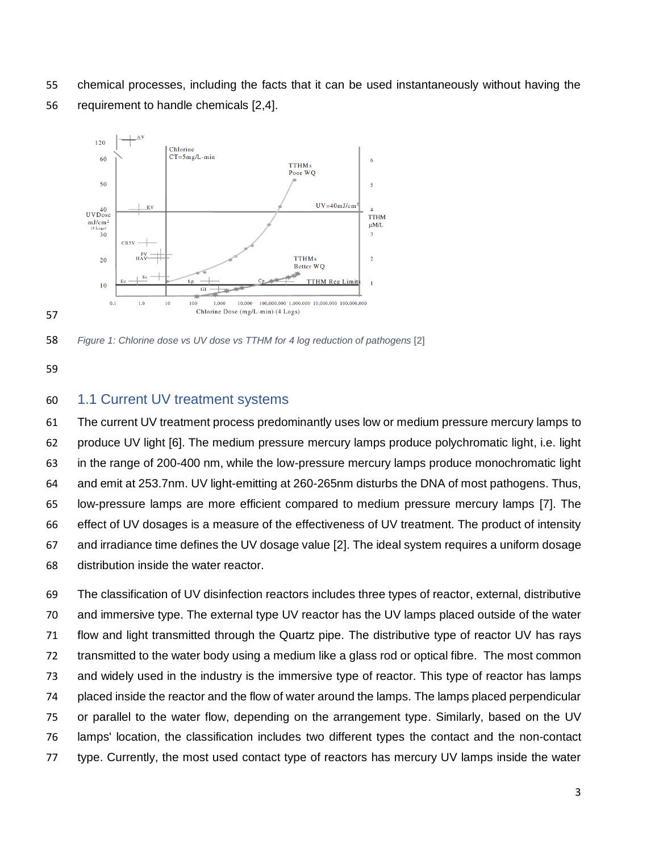chemical processes, including the facts that it can be used instantaneously without having the requirement to handle chemicals [2,4].



*Figure 1: Chlorine dose vs UV dose vs TTHM for 4 log reduction of pathogens* [2]

## 1.1 Current UV treatment systems

 The current UV treatment process predominantly uses low or medium pressure mercury lamps to produce UV light [6]. The medium pressure mercury lamps produce polychromatic light, i.e. light in the range of 200-400 nm, while the low-pressure mercury lamps produce monochromatic light and emit at 253.7nm. UV light-emitting at 260-265nm disturbs the DNA of most pathogens. Thus, low-pressure lamps are more efficient compared to medium pressure mercury lamps [7]. The effect of UV dosages is a measure of the effectiveness of UV treatment. The product of intensity and irradiance time defines the UV dosage value [2]. The ideal system requires a uniform dosage distribution inside the water reactor.

 The classification of UV disinfection reactors includes three types of reactor, external, distributive and immersive type. The external type UV reactor has the UV lamps placed outside of the water flow and light transmitted through the Quartz pipe. The distributive type of reactor UV has rays transmitted to the water body using a medium like a glass rod or optical fibre. The most common and widely used in the industry is the immersive type of reactor. This type of reactor has lamps placed inside the reactor and the flow of water around the lamps. The lamps placed perpendicular or parallel to the water flow, depending on the arrangement type. Similarly, based on the UV lamps' location, the classification includes two different types the contact and the non-contact type. Currently, the most used contact type of reactors has mercury UV lamps inside the water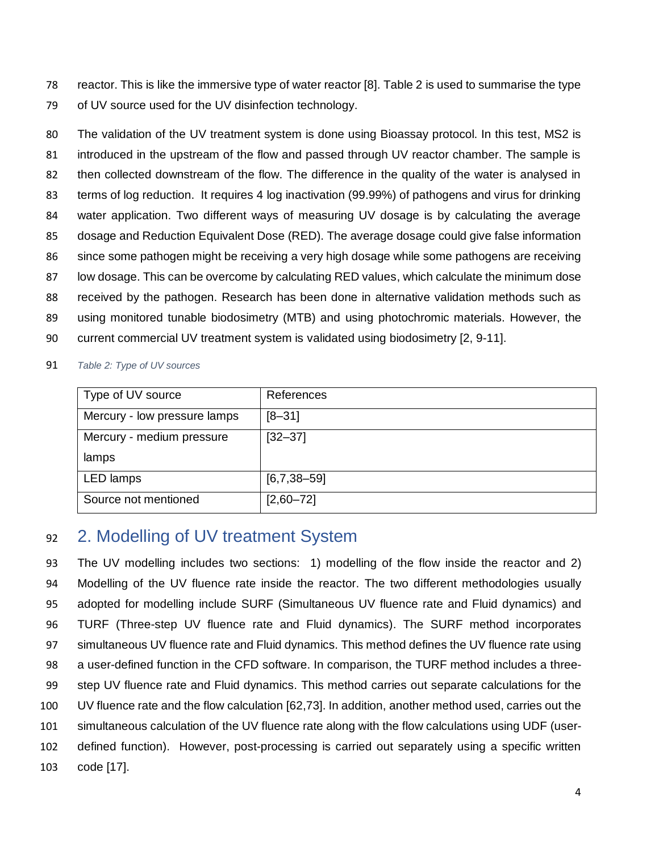reactor. This is like the immersive type of water reactor [8]. Table 2 is used to summarise the type of UV source used for the UV disinfection technology.

 The validation of the UV treatment system is done using Bioassay protocol. In this test, MS2 is 81 introduced in the upstream of the flow and passed through UV reactor chamber. The sample is then collected downstream of the flow. The difference in the quality of the water is analysed in 83 terms of log reduction. It requires 4 log inactivation (99.99%) of pathogens and virus for drinking water application. Two different ways of measuring UV dosage is by calculating the average dosage and Reduction Equivalent Dose (RED). The average dosage could give false information since some pathogen might be receiving a very high dosage while some pathogens are receiving low dosage. This can be overcome by calculating RED values, which calculate the minimum dose received by the pathogen. Research has been done in alternative validation methods such as using monitored tunable biodosimetry (MTB) and using photochromic materials. However, the current commercial UV treatment system is validated using biodosimetry [2, 9-11].

*Table 2: Type of UV sources*

| Type of UV source            | References    |
|------------------------------|---------------|
| Mercury - low pressure lamps | $[8 - 31]$    |
| Mercury - medium pressure    | $[32 - 37]$   |
| lamps                        |               |
| LED lamps                    | $[6,7,38-59]$ |
| Source not mentioned         | $[2,60 - 72]$ |

# 2. Modelling of UV treatment System

 The UV modelling includes two sections: 1) modelling of the flow inside the reactor and 2) Modelling of the UV fluence rate inside the reactor. The two different methodologies usually adopted for modelling include SURF (Simultaneous UV fluence rate and Fluid dynamics) and TURF (Three-step UV fluence rate and Fluid dynamics). The SURF method incorporates 97 simultaneous UV fluence rate and Fluid dynamics. This method defines the UV fluence rate using a user-defined function in the CFD software. In comparison, the TURF method includes a three- step UV fluence rate and Fluid dynamics. This method carries out separate calculations for the UV fluence rate and the flow calculation [62,73]. In addition, another method used, carries out the simultaneous calculation of the UV fluence rate along with the flow calculations using UDF (user- defined function). However, post-processing is carried out separately using a specific written code [17].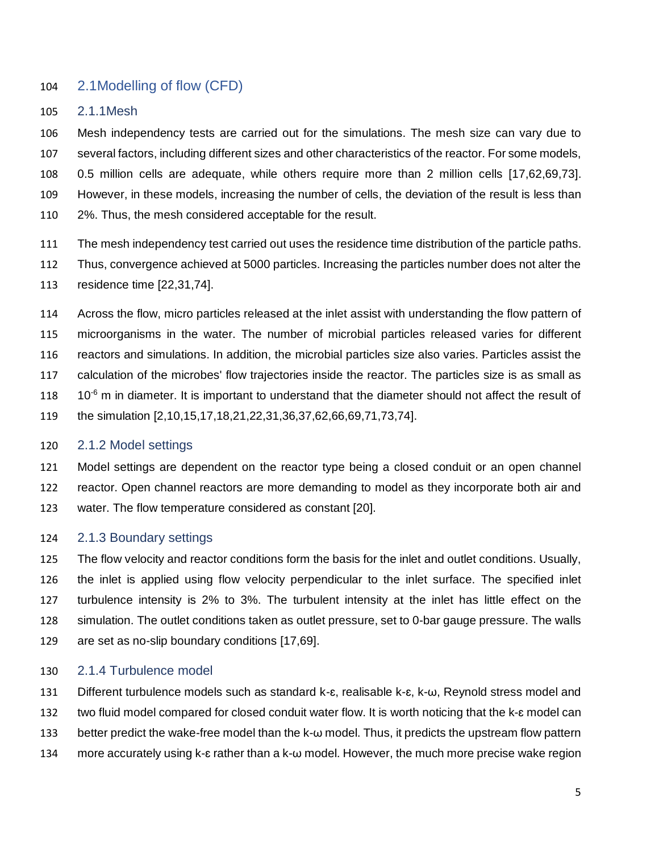## 2.1Modelling of flow (CFD)

2.1.1Mesh

 Mesh independency tests are carried out for the simulations. The mesh size can vary due to several factors, including different sizes and other characteristics of the reactor. For some models, 0.5 million cells are adequate, while others require more than 2 million cells [17,62,69,73]. However, in these models, increasing the number of cells, the deviation of the result is less than 2%. Thus, the mesh considered acceptable for the result.

The mesh independency test carried out uses the residence time distribution of the particle paths.

 Thus, convergence achieved at 5000 particles. Increasing the particles number does not alter the residence time [22,31,74].

 Across the flow, micro particles released at the inlet assist with understanding the flow pattern of microorganisms in the water. The number of microbial particles released varies for different reactors and simulations. In addition, the microbial particles size also varies. Particles assist the calculation of the microbes' flow trajectories inside the reactor. The particles size is as small as  $10<sup>-6</sup>$  m in diameter. It is important to understand that the diameter should not affect the result of the simulation [2,10,15,17,18,21,22,31,36,37,62,66,69,71,73,74].

## 2.1.2 Model settings

 Model settings are dependent on the reactor type being a closed conduit or an open channel reactor. Open channel reactors are more demanding to model as they incorporate both air and water. The flow temperature considered as constant [20].

## 2.1.3 Boundary settings

 The flow velocity and reactor conditions form the basis for the inlet and outlet conditions. Usually, the inlet is applied using flow velocity perpendicular to the inlet surface. The specified inlet turbulence intensity is 2% to 3%. The turbulent intensity at the inlet has little effect on the simulation. The outlet conditions taken as outlet pressure, set to 0-bar gauge pressure. The walls are set as no-slip boundary conditions [17,69].

## 2.1.4 Turbulence model

 Different turbulence models such as standard k-ɛ, realisable k-ɛ, k-ω, Reynold stress model and 132 two fluid model compared for closed conduit water flow. It is worth noticing that the k-ε model can better predict the wake-free model than the k-ω model. Thus, it predicts the upstream flow pattern more accurately using k-ɛ rather than a k-ω model. However, the much more precise wake region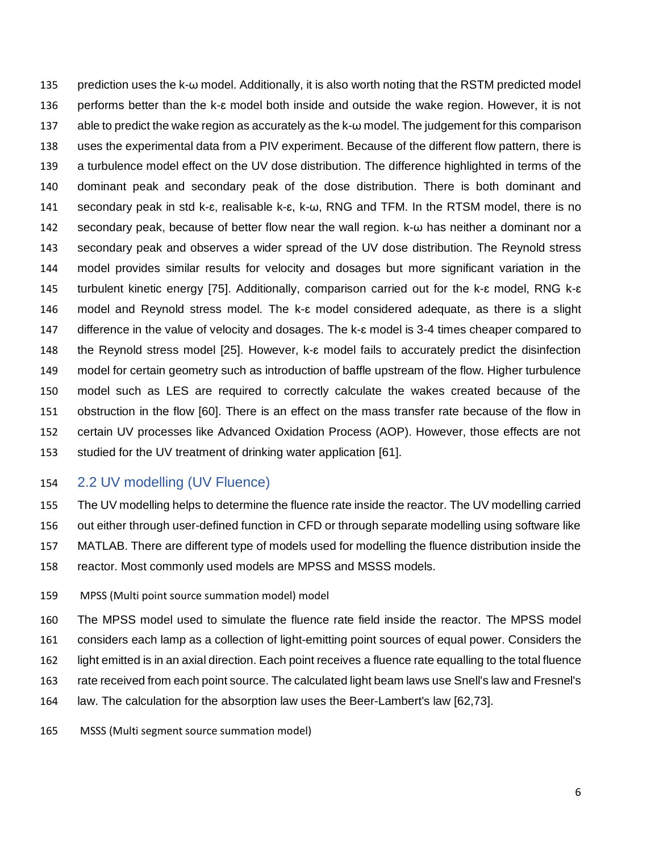prediction uses the k-ω model. Additionally, it is also worth noting that the RSTM predicted model performs better than the k-ɛ model both inside and outside the wake region. However, it is not able to predict the wake region as accurately as the k-ω model. The judgement for this comparison uses the experimental data from a PIV experiment. Because of the different flow pattern, there is a turbulence model effect on the UV dose distribution. The difference highlighted in terms of the dominant peak and secondary peak of the dose distribution. There is both dominant and secondary peak in std k-ɛ, realisable k-ɛ, k-ω, RNG and TFM. In the RTSM model, there is no secondary peak, because of better flow near the wall region. k-ω has neither a dominant nor a secondary peak and observes a wider spread of the UV dose distribution. The Reynold stress model provides similar results for velocity and dosages but more significant variation in the turbulent kinetic energy [75]. Additionally, comparison carried out for the k-ɛ model, RNG k-ɛ model and Reynold stress model. The k-ɛ model considered adequate, as there is a slight 147 difference in the value of velocity and dosages. The k- $\epsilon$  model is 3-4 times cheaper compared to the Reynold stress model [25]. However, k-ɛ model fails to accurately predict the disinfection model for certain geometry such as introduction of baffle upstream of the flow. Higher turbulence model such as LES are required to correctly calculate the wakes created because of the obstruction in the flow [60]. There is an effect on the mass transfer rate because of the flow in certain UV processes like Advanced Oxidation Process (AOP). However, those effects are not studied for the UV treatment of drinking water application [61].

## 2.2 UV modelling (UV Fluence)

 The UV modelling helps to determine the fluence rate inside the reactor. The UV modelling carried out either through user-defined function in CFD or through separate modelling using software like MATLAB. There are different type of models used for modelling the fluence distribution inside the reactor. Most commonly used models are MPSS and MSSS models.

- MPSS (Multi point source summation model) model
- The MPSS model used to simulate the fluence rate field inside the reactor. The MPSS model considers each lamp as a collection of light-emitting point sources of equal power. Considers the light emitted is in an axial direction. Each point receives a fluence rate equalling to the total fluence rate received from each point source. The calculated light beam laws use Snell's law and Fresnel's law. The calculation for the absorption law uses the Beer-Lambert's law [62,73].
- MSSS (Multi segment source summation model)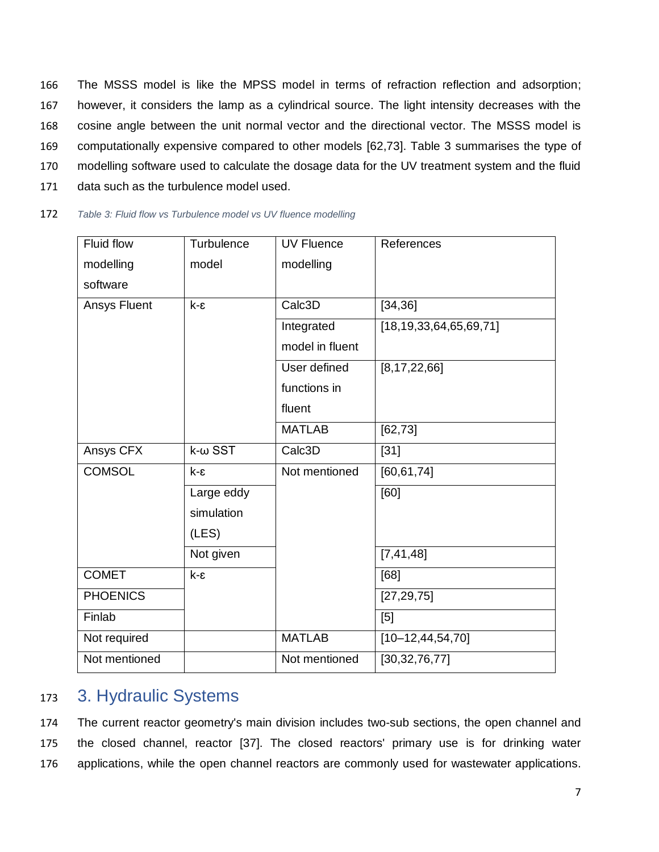The MSSS model is like the MPSS model in terms of refraction reflection and adsorption; however, it considers the lamp as a cylindrical source. The light intensity decreases with the cosine angle between the unit normal vector and the directional vector. The MSSS model is computationally expensive compared to other models [62,73]. Table 3 summarises the type of modelling software used to calculate the dosage data for the UV treatment system and the fluid data such as the turbulence model used.

| Fluid flow      | Turbulence         | <b>UV Fluence</b> | References                   |
|-----------------|--------------------|-------------------|------------------------------|
| modelling       | model              | modelling         |                              |
| software        |                    |                   |                              |
| Ansys Fluent    | $k - \varepsilon$  | Calc3D            | [34, 36]                     |
|                 |                    | Integrated        | [18, 19, 33, 64, 65, 69, 71] |
|                 |                    | model in fluent   |                              |
|                 |                    | User defined      | [8, 17, 22, 66]              |
|                 |                    | functions in      |                              |
|                 |                    | fluent            |                              |
|                 |                    | <b>MATLAB</b>     | [62, 73]                     |
| Ansys CFX       | $k$ - $\omega$ SST | Calc3D            | $[31]$                       |
| <b>COMSOL</b>   | $k - \epsilon$     | Not mentioned     | [60, 61, 74]                 |
|                 | Large eddy         |                   | [60]                         |
|                 | simulation         |                   |                              |
|                 | (LES)              |                   |                              |
|                 | Not given          |                   | [7, 41, 48]                  |
| <b>COMET</b>    | k-ε                |                   | [68]                         |
| <b>PHOENICS</b> |                    |                   | [27, 29, 75]                 |
| Finlab          |                    |                   | [5]                          |
| Not required    |                    | <b>MATLAB</b>     | $[10 - 12, 44, 54, 70]$      |
| Not mentioned   |                    | Not mentioned     | [30, 32, 76, 77]             |

# <sup>173</sup> 3. Hydraulic Systems

174 The current reactor geometry's main division includes two-sub sections, the open channel and 175 the closed channel, reactor [37]. The closed reactors' primary use is for drinking water 176 applications, while the open channel reactors are commonly used for wastewater applications.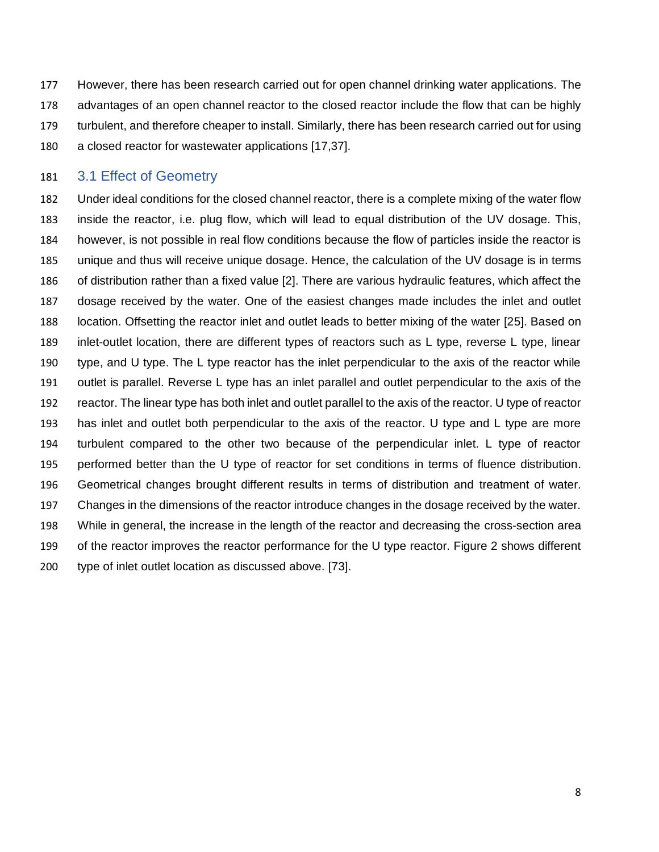However, there has been research carried out for open channel drinking water applications. The advantages of an open channel reactor to the closed reactor include the flow that can be highly turbulent, and therefore cheaper to install. Similarly, there has been research carried out for using a closed reactor for wastewater applications [17,37].

### 3.1 Effect of Geometry

 Under ideal conditions for the closed channel reactor, there is a complete mixing of the water flow inside the reactor, i.e. plug flow, which will lead to equal distribution of the UV dosage. This, however, is not possible in real flow conditions because the flow of particles inside the reactor is unique and thus will receive unique dosage. Hence, the calculation of the UV dosage is in terms of distribution rather than a fixed value [2]. There are various hydraulic features, which affect the dosage received by the water. One of the easiest changes made includes the inlet and outlet location. Offsetting the reactor inlet and outlet leads to better mixing of the water [25]. Based on inlet-outlet location, there are different types of reactors such as L type, reverse L type, linear type, and U type. The L type reactor has the inlet perpendicular to the axis of the reactor while outlet is parallel. Reverse L type has an inlet parallel and outlet perpendicular to the axis of the reactor. The linear type has both inlet and outlet parallel to the axis of the reactor. U type of reactor has inlet and outlet both perpendicular to the axis of the reactor. U type and L type are more turbulent compared to the other two because of the perpendicular inlet. L type of reactor performed better than the U type of reactor for set conditions in terms of fluence distribution. Geometrical changes brought different results in terms of distribution and treatment of water. Changes in the dimensions of the reactor introduce changes in the dosage received by the water. While in general, the increase in the length of the reactor and decreasing the cross-section area of the reactor improves the reactor performance for the U type reactor. Figure 2 shows different type of inlet outlet location as discussed above. [73].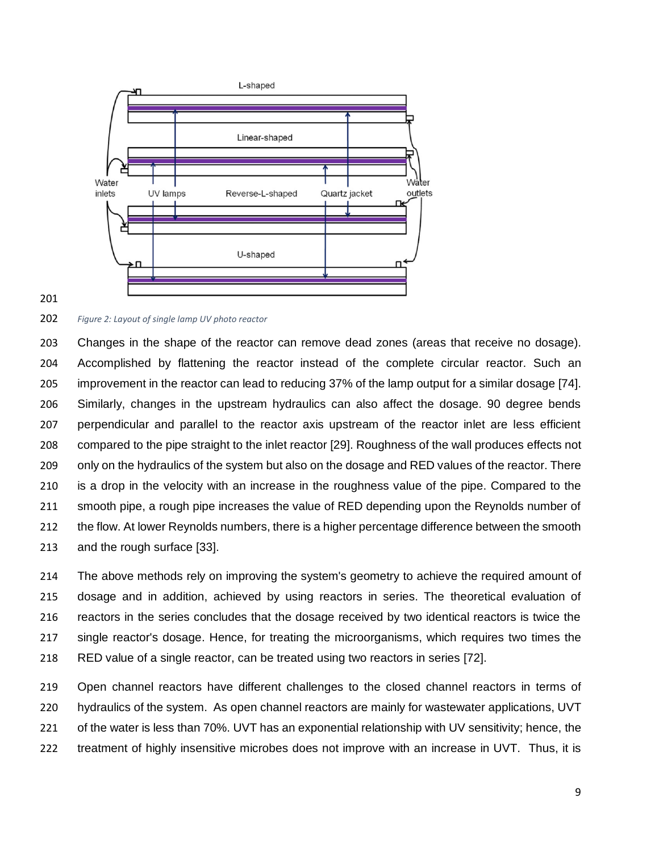

#### 

#### *Figure 2: Layout of single lamp UV photo reactor*

 Changes in the shape of the reactor can remove dead zones (areas that receive no dosage). Accomplished by flattening the reactor instead of the complete circular reactor. Such an improvement in the reactor can lead to reducing 37% of the lamp output for a similar dosage [74]. Similarly, changes in the upstream hydraulics can also affect the dosage. 90 degree bends perpendicular and parallel to the reactor axis upstream of the reactor inlet are less efficient compared to the pipe straight to the inlet reactor [29]. Roughness of the wall produces effects not only on the hydraulics of the system but also on the dosage and RED values of the reactor. There is a drop in the velocity with an increase in the roughness value of the pipe. Compared to the smooth pipe, a rough pipe increases the value of RED depending upon the Reynolds number of 212 the flow. At lower Reynolds numbers, there is a higher percentage difference between the smooth and the rough surface [33].

 The above methods rely on improving the system's geometry to achieve the required amount of dosage and in addition, achieved by using reactors in series. The theoretical evaluation of reactors in the series concludes that the dosage received by two identical reactors is twice the single reactor's dosage. Hence, for treating the microorganisms, which requires two times the RED value of a single reactor, can be treated using two reactors in series [72].

 Open channel reactors have different challenges to the closed channel reactors in terms of hydraulics of the system. As open channel reactors are mainly for wastewater applications, UVT of the water is less than 70%. UVT has an exponential relationship with UV sensitivity; hence, the treatment of highly insensitive microbes does not improve with an increase in UVT. Thus, it is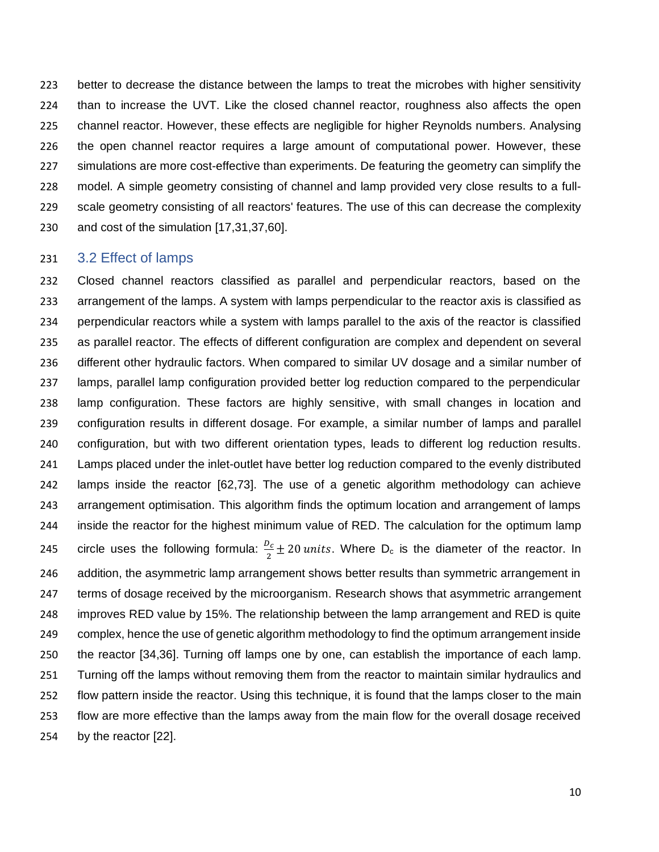better to decrease the distance between the lamps to treat the microbes with higher sensitivity than to increase the UVT. Like the closed channel reactor, roughness also affects the open channel reactor. However, these effects are negligible for higher Reynolds numbers. Analysing the open channel reactor requires a large amount of computational power. However, these simulations are more cost-effective than experiments. De featuring the geometry can simplify the model. A simple geometry consisting of channel and lamp provided very close results to a full- scale geometry consisting of all reactors' features. The use of this can decrease the complexity and cost of the simulation [17,31,37,60].

### 3.2 Effect of lamps

 Closed channel reactors classified as parallel and perpendicular reactors, based on the arrangement of the lamps. A system with lamps perpendicular to the reactor axis is classified as perpendicular reactors while a system with lamps parallel to the axis of the reactor is classified as parallel reactor. The effects of different configuration are complex and dependent on several different other hydraulic factors. When compared to similar UV dosage and a similar number of lamps, parallel lamp configuration provided better log reduction compared to the perpendicular lamp configuration. These factors are highly sensitive, with small changes in location and configuration results in different dosage. For example, a similar number of lamps and parallel configuration, but with two different orientation types, leads to different log reduction results. Lamps placed under the inlet-outlet have better log reduction compared to the evenly distributed lamps inside the reactor [62,73]. The use of a genetic algorithm methodology can achieve arrangement optimisation. This algorithm finds the optimum location and arrangement of lamps inside the reactor for the highest minimum value of RED. The calculation for the optimum lamp 245 circle uses the following formula:  $\frac{D_c}{2} \pm 20$  units. Where D<sub>c</sub> is the diameter of the reactor. In addition, the asymmetric lamp arrangement shows better results than symmetric arrangement in terms of dosage received by the microorganism. Research shows that asymmetric arrangement improves RED value by 15%. The relationship between the lamp arrangement and RED is quite complex, hence the use of genetic algorithm methodology to find the optimum arrangement inside the reactor [34,36]. Turning off lamps one by one, can establish the importance of each lamp. Turning off the lamps without removing them from the reactor to maintain similar hydraulics and flow pattern inside the reactor. Using this technique, it is found that the lamps closer to the main flow are more effective than the lamps away from the main flow for the overall dosage received by the reactor [22].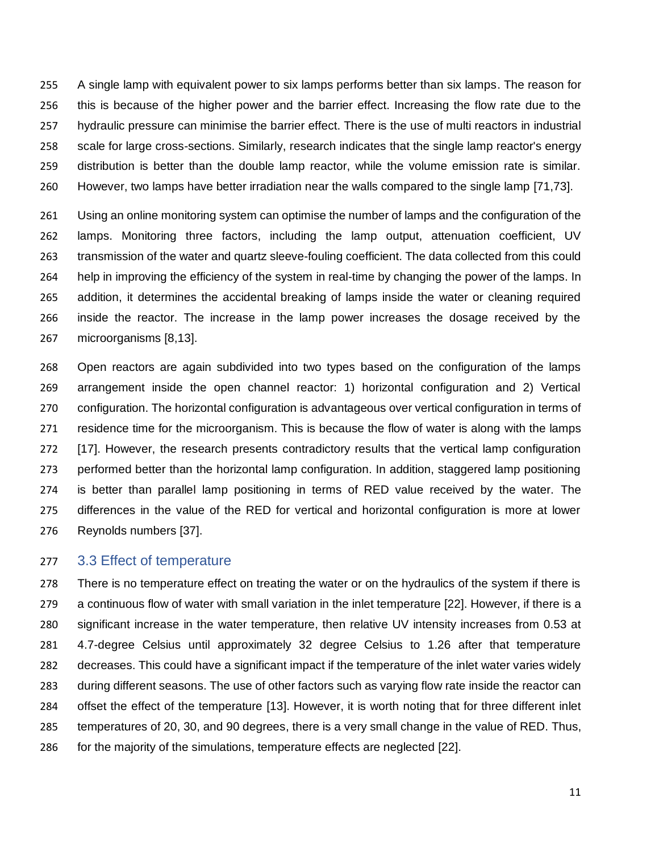A single lamp with equivalent power to six lamps performs better than six lamps. The reason for this is because of the higher power and the barrier effect. Increasing the flow rate due to the hydraulic pressure can minimise the barrier effect. There is the use of multi reactors in industrial scale for large cross-sections. Similarly, research indicates that the single lamp reactor's energy distribution is better than the double lamp reactor, while the volume emission rate is similar. However, two lamps have better irradiation near the walls compared to the single lamp [71,73].

 Using an online monitoring system can optimise the number of lamps and the configuration of the lamps. Monitoring three factors, including the lamp output, attenuation coefficient, UV transmission of the water and quartz sleeve-fouling coefficient. The data collected from this could help in improving the efficiency of the system in real-time by changing the power of the lamps. In addition, it determines the accidental breaking of lamps inside the water or cleaning required inside the reactor. The increase in the lamp power increases the dosage received by the microorganisms [8,13].

 Open reactors are again subdivided into two types based on the configuration of the lamps arrangement inside the open channel reactor: 1) horizontal configuration and 2) Vertical configuration. The horizontal configuration is advantageous over vertical configuration in terms of residence time for the microorganism. This is because the flow of water is along with the lamps [17]. However, the research presents contradictory results that the vertical lamp configuration performed better than the horizontal lamp configuration. In addition, staggered lamp positioning is better than parallel lamp positioning in terms of RED value received by the water. The differences in the value of the RED for vertical and horizontal configuration is more at lower Reynolds numbers [37].

#### 3.3 Effect of temperature

 There is no temperature effect on treating the water or on the hydraulics of the system if there is a continuous flow of water with small variation in the inlet temperature [22]. However, if there is a significant increase in the water temperature, then relative UV intensity increases from 0.53 at 4.7-degree Celsius until approximately 32 degree Celsius to 1.26 after that temperature decreases. This could have a significant impact if the temperature of the inlet water varies widely during different seasons. The use of other factors such as varying flow rate inside the reactor can offset the effect of the temperature [13]. However, it is worth noting that for three different inlet temperatures of 20, 30, and 90 degrees, there is a very small change in the value of RED. Thus, for the majority of the simulations, temperature effects are neglected [22].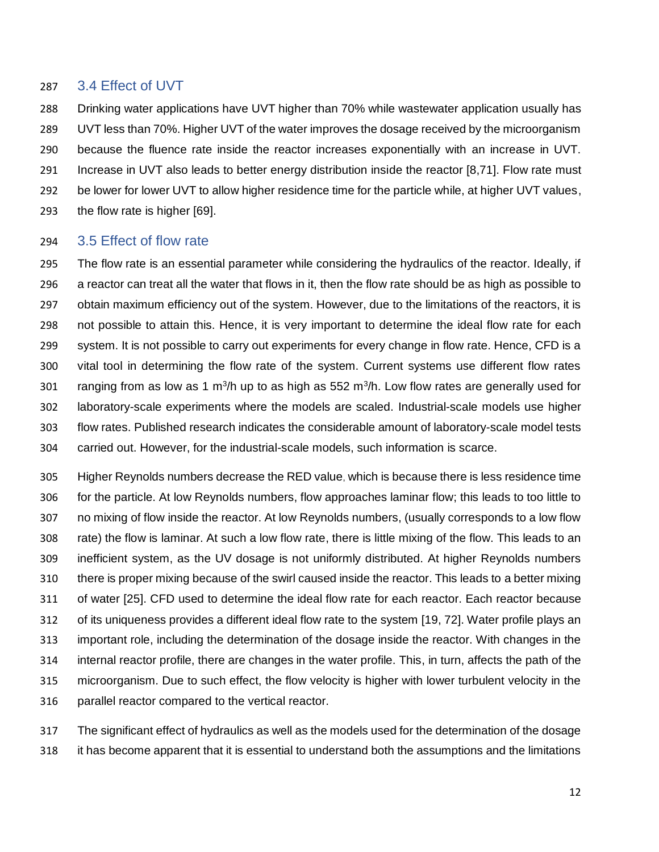### 3.4 Effect of UVT

 Drinking water applications have UVT higher than 70% while wastewater application usually has UVT less than 70%. Higher UVT of the water improves the dosage received by the microorganism because the fluence rate inside the reactor increases exponentially with an increase in UVT. Increase in UVT also leads to better energy distribution inside the reactor [8,71]. Flow rate must be lower for lower UVT to allow higher residence time for the particle while, at higher UVT values, the flow rate is higher [69].

### 3.5 Effect of flow rate

 The flow rate is an essential parameter while considering the hydraulics of the reactor. Ideally, if a reactor can treat all the water that flows in it, then the flow rate should be as high as possible to obtain maximum efficiency out of the system. However, due to the limitations of the reactors, it is not possible to attain this. Hence, it is very important to determine the ideal flow rate for each system. It is not possible to carry out experiments for every change in flow rate. Hence, CFD is a vital tool in determining the flow rate of the system. Current systems use different flow rates 301 ranging from as low as 1 m<sup>3</sup>/h up to as high as 552 m<sup>3</sup>/h. Low flow rates are generally used for laboratory-scale experiments where the models are scaled. Industrial-scale models use higher flow rates. Published research indicates the considerable amount of laboratory-scale model tests carried out. However, for the industrial-scale models, such information is scarce.

 Higher Reynolds numbers decrease the RED value, which is because there is less residence time for the particle. At low Reynolds numbers, flow approaches laminar flow; this leads to too little to no mixing of flow inside the reactor. At low Reynolds numbers, (usually corresponds to a low flow rate) the flow is laminar. At such a low flow rate, there is little mixing of the flow. This leads to an inefficient system, as the UV dosage is not uniformly distributed. At higher Reynolds numbers there is proper mixing because of the swirl caused inside the reactor. This leads to a better mixing of water [25]. CFD used to determine the ideal flow rate for each reactor. Each reactor because of its uniqueness provides a different ideal flow rate to the system [19, 72]. Water profile plays an important role, including the determination of the dosage inside the reactor. With changes in the internal reactor profile, there are changes in the water profile. This, in turn, affects the path of the microorganism. Due to such effect, the flow velocity is higher with lower turbulent velocity in the parallel reactor compared to the vertical reactor.

 The significant effect of hydraulics as well as the models used for the determination of the dosage it has become apparent that it is essential to understand both the assumptions and the limitations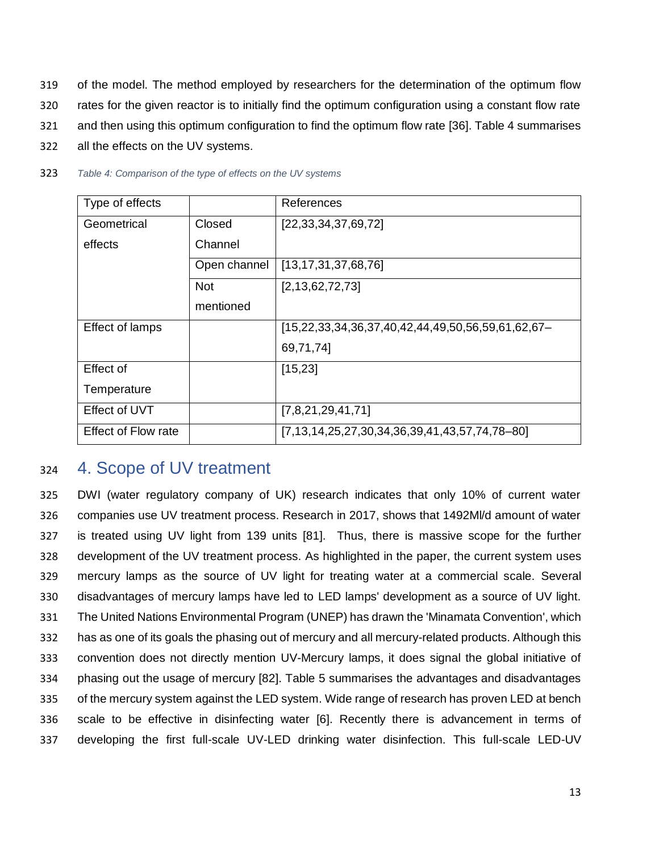- 319 of the model. The method employed by researchers for the determination of the optimum flow
- 320 rates for the given reactor is to initially find the optimum configuration using a constant flow rate
- 321 and then using this optimum configuration to find the optimum flow rate [36]. Table 4 summarises
- 322 all the effects on the UV systems.

| Type of effects            |              | References                                        |
|----------------------------|--------------|---------------------------------------------------|
| Geometrical                | Closed       | [22, 33, 34, 37, 69, 72]                          |
| effects                    | Channel      |                                                   |
|                            | Open channel | [13, 17, 31, 37, 68, 76]                          |
|                            | <b>Not</b>   | [2,13,62,72,73]                                   |
|                            | mentioned    |                                                   |
| Effect of lamps            |              | [15,22,33,34,36,37,40,42,44,49,50,56,59,61,62,67- |
|                            |              | 69,71,74]                                         |
| Effect of                  |              | [15, 23]                                          |
| Temperature                |              |                                                   |
| Effect of UVT              |              | [7,8,21,29,41,71]                                 |
| <b>Effect of Flow rate</b> |              | [7,13,14,25,27,30,34,36,39,41,43,57,74,78-80]     |

323 *Table 4: Comparison of the type of effects on the UV systems*

## <sup>324</sup> 4. Scope of UV treatment

 DWI (water regulatory company of UK) research indicates that only 10% of current water companies use UV treatment process. Research in 2017, shows that 1492Ml/d amount of water is treated using UV light from 139 units [81]. Thus, there is massive scope for the further development of the UV treatment process. As highlighted in the paper, the current system uses mercury lamps as the source of UV light for treating water at a commercial scale. Several disadvantages of mercury lamps have led to LED lamps' development as a source of UV light. The United Nations Environmental Program (UNEP) has drawn the 'Minamata Convention', which has as one of its goals the phasing out of mercury and all mercury-related products. Although this convention does not directly mention UV-Mercury lamps, it does signal the global initiative of phasing out the usage of mercury [82]. Table 5 summarises the advantages and disadvantages of the mercury system against the LED system. Wide range of research has proven LED at bench scale to be effective in disinfecting water [6]. Recently there is advancement in terms of developing the first full-scale UV-LED drinking water disinfection. This full-scale LED-UV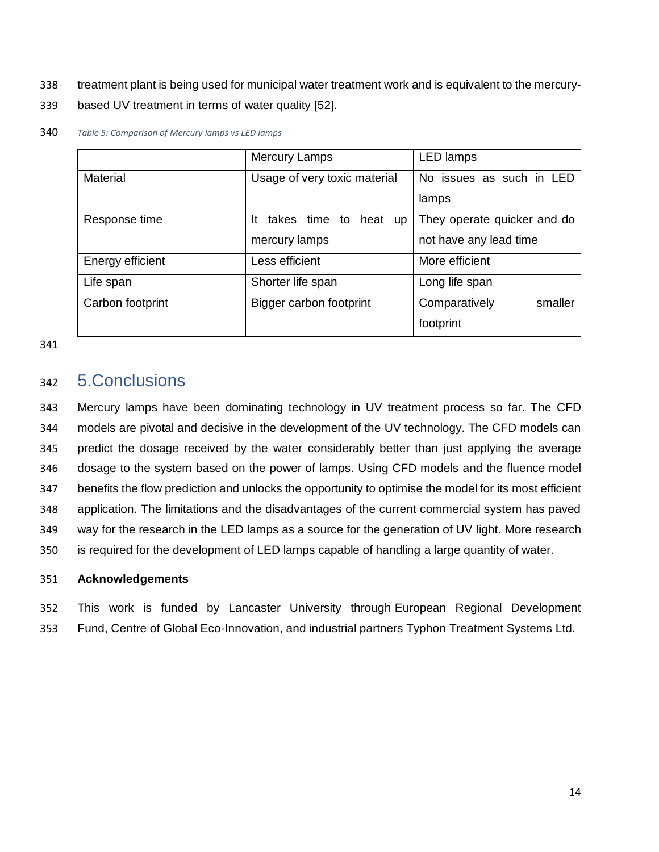- treatment plant is being used for municipal water treatment work and is equivalent to the mercury-
- based UV treatment in terms of water quality [52].

|                  | <b>Mercury Lamps</b>                      | <b>LED</b> lamps            |
|------------------|-------------------------------------------|-----------------------------|
| Material         | Usage of very toxic material              | No issues as such in LED    |
|                  |                                           | lamps                       |
| Response time    | takes time to<br>heat<br>-lt<br><b>up</b> | They operate quicker and do |
|                  | mercury lamps                             | not have any lead time      |
| Energy efficient | Less efficient                            | More efficient              |
| Life span        | Shorter life span                         | Long life span              |
| Carbon footprint | Bigger carbon footprint                   | Comparatively<br>smaller    |
|                  |                                           | footprint                   |

#### *Table 5: Comparison of Mercury lamps vs LED lamps*

# 5.Conclusions

 Mercury lamps have been dominating technology in UV treatment process so far. The CFD models are pivotal and decisive in the development of the UV technology. The CFD models can predict the dosage received by the water considerably better than just applying the average dosage to the system based on the power of lamps. Using CFD models and the fluence model benefits the flow prediction and unlocks the opportunity to optimise the model for its most efficient application. The limitations and the disadvantages of the current commercial system has paved way for the research in the LED lamps as a source for the generation of UV light. More research is required for the development of LED lamps capable of handling a large quantity of water.

## **Acknowledgements**

 This work is funded by Lancaster University through European Regional Development Fund, Centre of Global Eco-Innovation, and industrial partners Typhon Treatment Systems Ltd.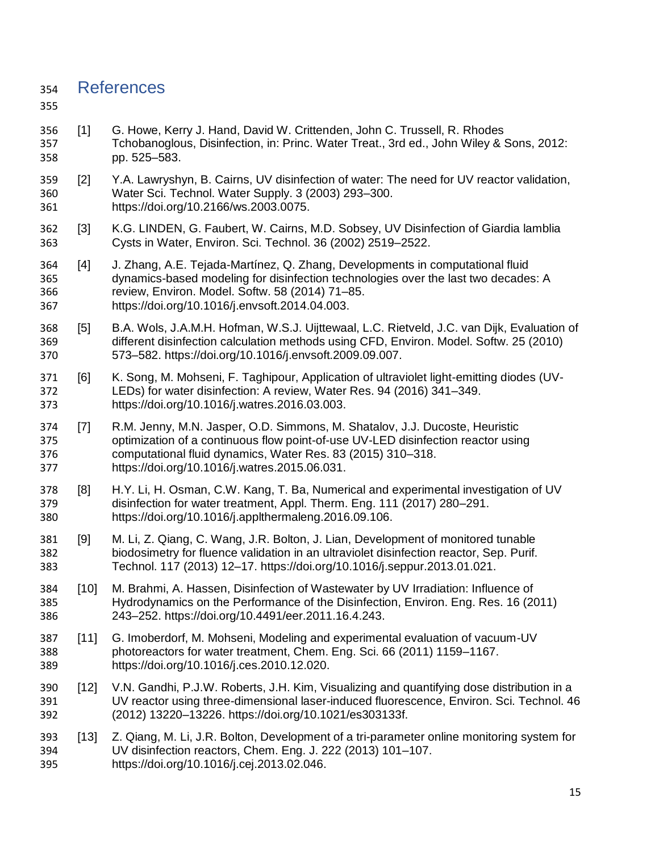## References

- [1] G. Howe, Kerry J. Hand, David W. Crittenden, John C. Trussell, R. Rhodes Tchobanoglous, Disinfection, in: Princ. Water Treat., 3rd ed., John Wiley & Sons, 2012: pp. 525–583.
- [2] Y.A. Lawryshyn, B. Cairns, UV disinfection of water: The need for UV reactor validation, Water Sci. Technol. Water Supply. 3 (2003) 293–300. https://doi.org/10.2166/ws.2003.0075.
- [3] K.G. LINDEN, G. Faubert, W. Cairns, M.D. Sobsey, UV Disinfection of Giardia lamblia Cysts in Water, Environ. Sci. Technol. 36 (2002) 2519–2522.
- [4] J. Zhang, A.E. Tejada-Martínez, Q. Zhang, Developments in computational fluid dynamics-based modeling for disinfection technologies over the last two decades: A review, Environ. Model. Softw. 58 (2014) 71–85. https://doi.org/10.1016/j.envsoft.2014.04.003.
- [5] B.A. Wols, J.A.M.H. Hofman, W.S.J. Uijttewaal, L.C. Rietveld, J.C. van Dijk, Evaluation of different disinfection calculation methods using CFD, Environ. Model. Softw. 25 (2010) 573–582. https://doi.org/10.1016/j.envsoft.2009.09.007.
- [6] K. Song, M. Mohseni, F. Taghipour, Application of ultraviolet light-emitting diodes (UV- LEDs) for water disinfection: A review, Water Res. 94 (2016) 341–349. https://doi.org/10.1016/j.watres.2016.03.003.
- [7] R.M. Jenny, M.N. Jasper, O.D. Simmons, M. Shatalov, J.J. Ducoste, Heuristic optimization of a continuous flow point-of-use UV-LED disinfection reactor using computational fluid dynamics, Water Res. 83 (2015) 310–318. https://doi.org/10.1016/j.watres.2015.06.031.
- [8] H.Y. Li, H. Osman, C.W. Kang, T. Ba, Numerical and experimental investigation of UV disinfection for water treatment, Appl. Therm. Eng. 111 (2017) 280–291. https://doi.org/10.1016/j.applthermaleng.2016.09.106.
- [9] M. Li, Z. Qiang, C. Wang, J.R. Bolton, J. Lian, Development of monitored tunable biodosimetry for fluence validation in an ultraviolet disinfection reactor, Sep. Purif. Technol. 117 (2013) 12–17. https://doi.org/10.1016/j.seppur.2013.01.021.
- [10] M. Brahmi, A. Hassen, Disinfection of Wastewater by UV Irradiation: Influence of Hydrodynamics on the Performance of the Disinfection, Environ. Eng. Res. 16 (2011) 243–252. https://doi.org/10.4491/eer.2011.16.4.243.
- [11] G. Imoberdorf, M. Mohseni, Modeling and experimental evaluation of vacuum-UV photoreactors for water treatment, Chem. Eng. Sci. 66 (2011) 1159–1167. https://doi.org/10.1016/j.ces.2010.12.020.
- [12] V.N. Gandhi, P.J.W. Roberts, J.H. Kim, Visualizing and quantifying dose distribution in a UV reactor using three-dimensional laser-induced fluorescence, Environ. Sci. Technol. 46 (2012) 13220–13226. https://doi.org/10.1021/es303133f.
- [13] Z. Qiang, M. Li, J.R. Bolton, Development of a tri-parameter online monitoring system for UV disinfection reactors, Chem. Eng. J. 222 (2013) 101–107. https://doi.org/10.1016/j.cej.2013.02.046.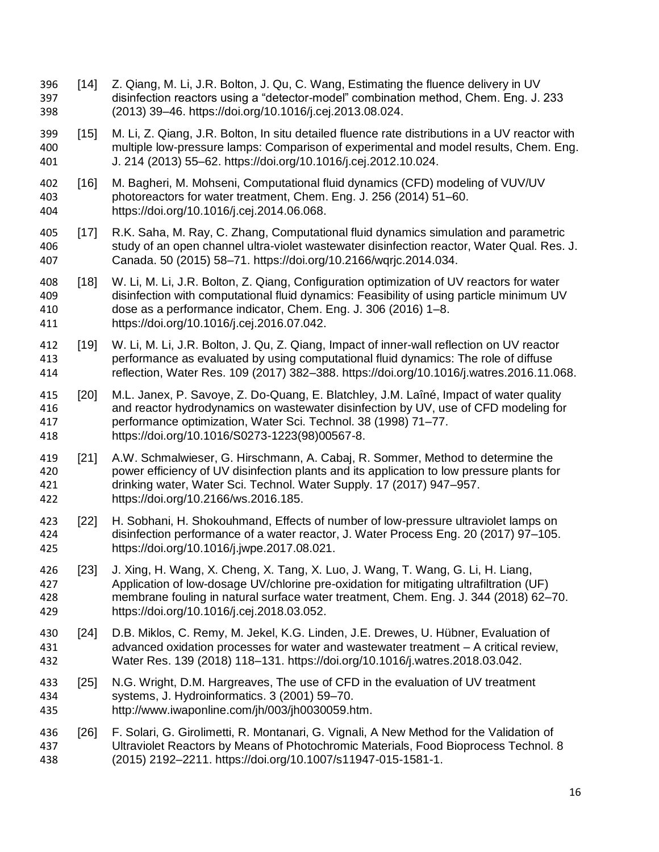- [14] Z. Qiang, M. Li, J.R. Bolton, J. Qu, C. Wang, Estimating the fluence delivery in UV disinfection reactors using a "detector-model" combination method, Chem. Eng. J. 233 (2013) 39–46. https://doi.org/10.1016/j.cej.2013.08.024.
- [15] M. Li, Z. Qiang, J.R. Bolton, In situ detailed fluence rate distributions in a UV reactor with multiple low-pressure lamps: Comparison of experimental and model results, Chem. Eng. J. 214 (2013) 55–62. https://doi.org/10.1016/j.cej.2012.10.024.
- [16] M. Bagheri, M. Mohseni, Computational fluid dynamics (CFD) modeling of VUV/UV photoreactors for water treatment, Chem. Eng. J. 256 (2014) 51–60. https://doi.org/10.1016/j.cej.2014.06.068.
- [17] R.K. Saha, M. Ray, C. Zhang, Computational fluid dynamics simulation and parametric study of an open channel ultra-violet wastewater disinfection reactor, Water Qual. Res. J. Canada. 50 (2015) 58–71. https://doi.org/10.2166/wqrjc.2014.034.
- [18] W. Li, M. Li, J.R. Bolton, Z. Qiang, Configuration optimization of UV reactors for water disinfection with computational fluid dynamics: Feasibility of using particle minimum UV dose as a performance indicator, Chem. Eng. J. 306 (2016) 1–8. https://doi.org/10.1016/j.cej.2016.07.042.
- [19] W. Li, M. Li, J.R. Bolton, J. Qu, Z. Qiang, Impact of inner-wall reflection on UV reactor performance as evaluated by using computational fluid dynamics: The role of diffuse reflection, Water Res. 109 (2017) 382–388. https://doi.org/10.1016/j.watres.2016.11.068.
- [20] M.L. Janex, P. Savoye, Z. Do-Quang, E. Blatchley, J.M. Laîné, Impact of water quality and reactor hydrodynamics on wastewater disinfection by UV, use of CFD modeling for performance optimization, Water Sci. Technol. 38 (1998) 71–77. https://doi.org/10.1016/S0273-1223(98)00567-8.
- [21] A.W. Schmalwieser, G. Hirschmann, A. Cabaj, R. Sommer, Method to determine the power efficiency of UV disinfection plants and its application to low pressure plants for drinking water, Water Sci. Technol. Water Supply. 17 (2017) 947–957. https://doi.org/10.2166/ws.2016.185.
- [22] H. Sobhani, H. Shokouhmand, Effects of number of low-pressure ultraviolet lamps on disinfection performance of a water reactor, J. Water Process Eng. 20 (2017) 97–105. https://doi.org/10.1016/j.jwpe.2017.08.021.
- [23] J. Xing, H. Wang, X. Cheng, X. Tang, X. Luo, J. Wang, T. Wang, G. Li, H. Liang, Application of low-dosage UV/chlorine pre-oxidation for mitigating ultrafiltration (UF) membrane fouling in natural surface water treatment, Chem. Eng. J. 344 (2018) 62–70. https://doi.org/10.1016/j.cej.2018.03.052.
- [24] D.B. Miklos, C. Remy, M. Jekel, K.G. Linden, J.E. Drewes, U. Hübner, Evaluation of advanced oxidation processes for water and wastewater treatment – A critical review, Water Res. 139 (2018) 118–131. https://doi.org/10.1016/j.watres.2018.03.042.
- [25] N.G. Wright, D.M. Hargreaves, The use of CFD in the evaluation of UV treatment systems, J. Hydroinformatics. 3 (2001) 59–70. http://www.iwaponline.com/jh/003/jh0030059.htm.
- [26] F. Solari, G. Girolimetti, R. Montanari, G. Vignali, A New Method for the Validation of Ultraviolet Reactors by Means of Photochromic Materials, Food Bioprocess Technol. 8 (2015) 2192–2211. https://doi.org/10.1007/s11947-015-1581-1.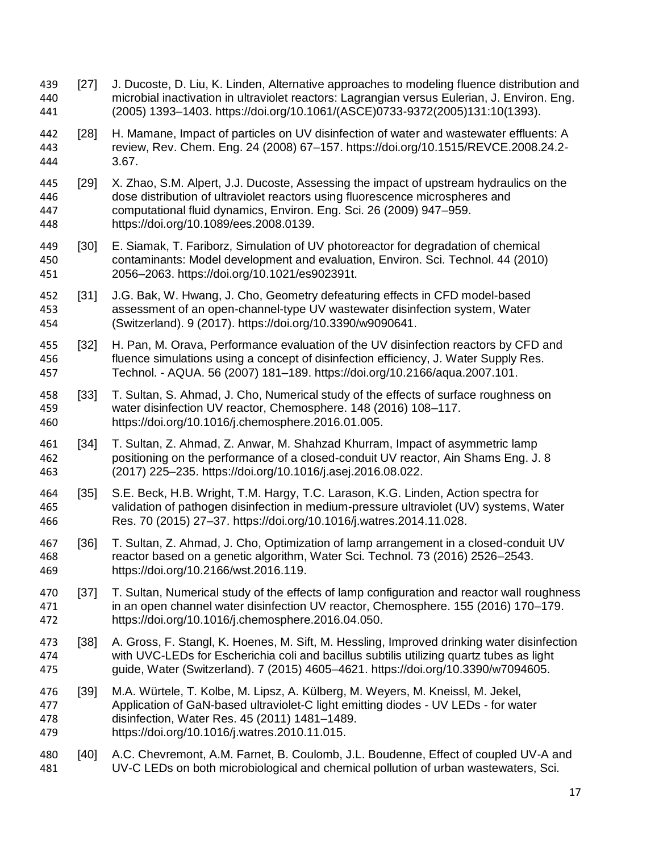- [27] J. Ducoste, D. Liu, K. Linden, Alternative approaches to modeling fluence distribution and microbial inactivation in ultraviolet reactors: Lagrangian versus Eulerian, J. Environ. Eng. (2005) 1393–1403. https://doi.org/10.1061/(ASCE)0733-9372(2005)131:10(1393).
- [28] H. Mamane, Impact of particles on UV disinfection of water and wastewater effluents: A review, Rev. Chem. Eng. 24 (2008) 67–157. https://doi.org/10.1515/REVCE.2008.24.2- 3.67.
- [29] X. Zhao, S.M. Alpert, J.J. Ducoste, Assessing the impact of upstream hydraulics on the dose distribution of ultraviolet reactors using fluorescence microspheres and computational fluid dynamics, Environ. Eng. Sci. 26 (2009) 947–959. https://doi.org/10.1089/ees.2008.0139.
- [30] E. Siamak, T. Fariborz, Simulation of UV photoreactor for degradation of chemical contaminants: Model development and evaluation, Environ. Sci. Technol. 44 (2010) 2056–2063. https://doi.org/10.1021/es902391t.
- [31] J.G. Bak, W. Hwang, J. Cho, Geometry defeaturing effects in CFD model-based assessment of an open-channel-type UV wastewater disinfection system, Water (Switzerland). 9 (2017). https://doi.org/10.3390/w9090641.
- [32] H. Pan, M. Orava, Performance evaluation of the UV disinfection reactors by CFD and fluence simulations using a concept of disinfection efficiency, J. Water Supply Res. Technol. - AQUA. 56 (2007) 181–189. https://doi.org/10.2166/aqua.2007.101.
- [33] T. Sultan, S. Ahmad, J. Cho, Numerical study of the effects of surface roughness on water disinfection UV reactor, Chemosphere. 148 (2016) 108–117. https://doi.org/10.1016/j.chemosphere.2016.01.005.
- [34] T. Sultan, Z. Ahmad, Z. Anwar, M. Shahzad Khurram, Impact of asymmetric lamp positioning on the performance of a closed-conduit UV reactor, Ain Shams Eng. J. 8 (2017) 225–235. https://doi.org/10.1016/j.asej.2016.08.022.
- [35] S.E. Beck, H.B. Wright, T.M. Hargy, T.C. Larason, K.G. Linden, Action spectra for validation of pathogen disinfection in medium-pressure ultraviolet (UV) systems, Water Res. 70 (2015) 27–37. https://doi.org/10.1016/j.watres.2014.11.028.
- [36] T. Sultan, Z. Ahmad, J. Cho, Optimization of lamp arrangement in a closed-conduit UV reactor based on a genetic algorithm, Water Sci. Technol. 73 (2016) 2526–2543. https://doi.org/10.2166/wst.2016.119.
- [37] T. Sultan, Numerical study of the effects of lamp configuration and reactor wall roughness in an open channel water disinfection UV reactor, Chemosphere. 155 (2016) 170–179. https://doi.org/10.1016/j.chemosphere.2016.04.050.
- [38] A. Gross, F. Stangl, K. Hoenes, M. Sift, M. Hessling, Improved drinking water disinfection with UVC-LEDs for Escherichia coli and bacillus subtilis utilizing quartz tubes as light guide, Water (Switzerland). 7 (2015) 4605–4621. https://doi.org/10.3390/w7094605.
- [39] M.A. Würtele, T. Kolbe, M. Lipsz, A. Külberg, M. Weyers, M. Kneissl, M. Jekel, Application of GaN-based ultraviolet-C light emitting diodes - UV LEDs - for water disinfection, Water Res. 45 (2011) 1481–1489. https://doi.org/10.1016/j.watres.2010.11.015.
- [40] A.C. Chevremont, A.M. Farnet, B. Coulomb, J.L. Boudenne, Effect of coupled UV-A and UV-C LEDs on both microbiological and chemical pollution of urban wastewaters, Sci.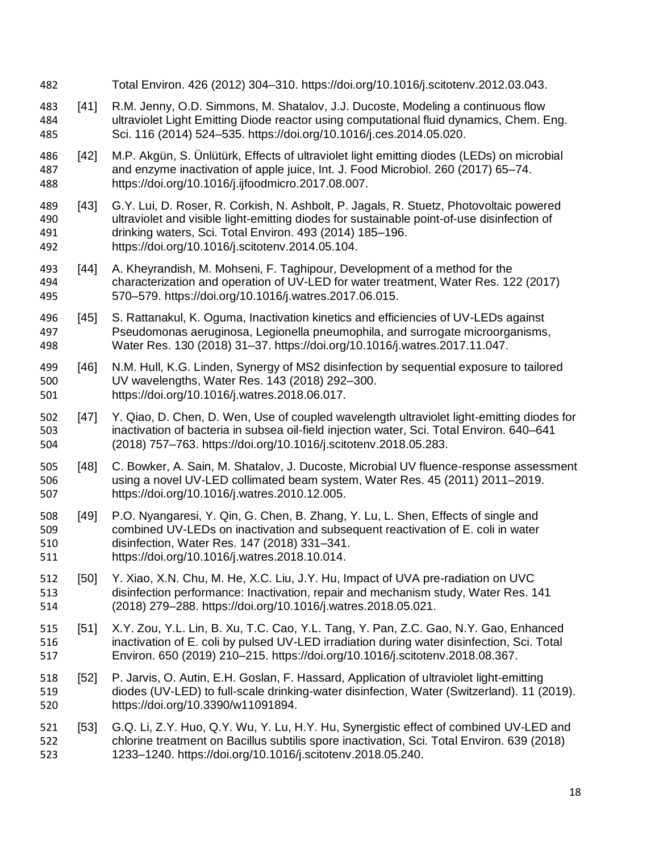Total Environ. 426 (2012) 304–310. https://doi.org/10.1016/j.scitotenv.2012.03.043. [41] R.M. Jenny, O.D. Simmons, M. Shatalov, J.J. Ducoste, Modeling a continuous flow ultraviolet Light Emitting Diode reactor using computational fluid dynamics, Chem. Eng. Sci. 116 (2014) 524–535. https://doi.org/10.1016/j.ces.2014.05.020. [42] M.P. Akgün, S. Ünlütürk, Effects of ultraviolet light emitting diodes (LEDs) on microbial and enzyme inactivation of apple juice, Int. J. Food Microbiol. 260 (2017) 65–74. https://doi.org/10.1016/j.ijfoodmicro.2017.08.007. [43] G.Y. Lui, D. Roser, R. Corkish, N. Ashbolt, P. Jagals, R. Stuetz, Photovoltaic powered ultraviolet and visible light-emitting diodes for sustainable point-of-use disinfection of drinking waters, Sci. Total Environ. 493 (2014) 185–196. https://doi.org/10.1016/j.scitotenv.2014.05.104. [44] A. Kheyrandish, M. Mohseni, F. Taghipour, Development of a method for the characterization and operation of UV-LED for water treatment, Water Res. 122 (2017) 570–579. https://doi.org/10.1016/j.watres.2017.06.015. [45] S. Rattanakul, K. Oguma, Inactivation kinetics and efficiencies of UV-LEDs against Pseudomonas aeruginosa, Legionella pneumophila, and surrogate microorganisms, Water Res. 130 (2018) 31–37. https://doi.org/10.1016/j.watres.2017.11.047. [46] N.M. Hull, K.G. Linden, Synergy of MS2 disinfection by sequential exposure to tailored UV wavelengths, Water Res. 143 (2018) 292–300. https://doi.org/10.1016/j.watres.2018.06.017. [47] Y. Qiao, D. Chen, D. Wen, Use of coupled wavelength ultraviolet light-emitting diodes for inactivation of bacteria in subsea oil-field injection water, Sci. Total Environ. 640–641 (2018) 757–763. https://doi.org/10.1016/j.scitotenv.2018.05.283. [48] C. Bowker, A. Sain, M. Shatalov, J. Ducoste, Microbial UV fluence-response assessment using a novel UV-LED collimated beam system, Water Res. 45 (2011) 2011–2019. https://doi.org/10.1016/j.watres.2010.12.005. [49] P.O. Nyangaresi, Y. Qin, G. Chen, B. Zhang, Y. Lu, L. Shen, Effects of single and combined UV-LEDs on inactivation and subsequent reactivation of E. coli in water disinfection, Water Res. 147 (2018) 331–341. https://doi.org/10.1016/j.watres.2018.10.014. [50] Y. Xiao, X.N. Chu, M. He, X.C. Liu, J.Y. Hu, Impact of UVA pre-radiation on UVC disinfection performance: Inactivation, repair and mechanism study, Water Res. 141 (2018) 279–288. https://doi.org/10.1016/j.watres.2018.05.021. [51] X.Y. Zou, Y.L. Lin, B. Xu, T.C. Cao, Y.L. Tang, Y. Pan, Z.C. Gao, N.Y. Gao, Enhanced inactivation of E. coli by pulsed UV-LED irradiation during water disinfection, Sci. Total Environ. 650 (2019) 210–215. https://doi.org/10.1016/j.scitotenv.2018.08.367. [52] P. Jarvis, O. Autin, E.H. Goslan, F. Hassard, Application of ultraviolet light-emitting diodes (UV-LED) to full-scale drinking-water disinfection, Water (Switzerland). 11 (2019). https://doi.org/10.3390/w11091894. [53] G.Q. Li, Z.Y. Huo, Q.Y. Wu, Y. Lu, H.Y. Hu, Synergistic effect of combined UV-LED and chlorine treatment on Bacillus subtilis spore inactivation, Sci. Total Environ. 639 (2018) 1233–1240. https://doi.org/10.1016/j.scitotenv.2018.05.240.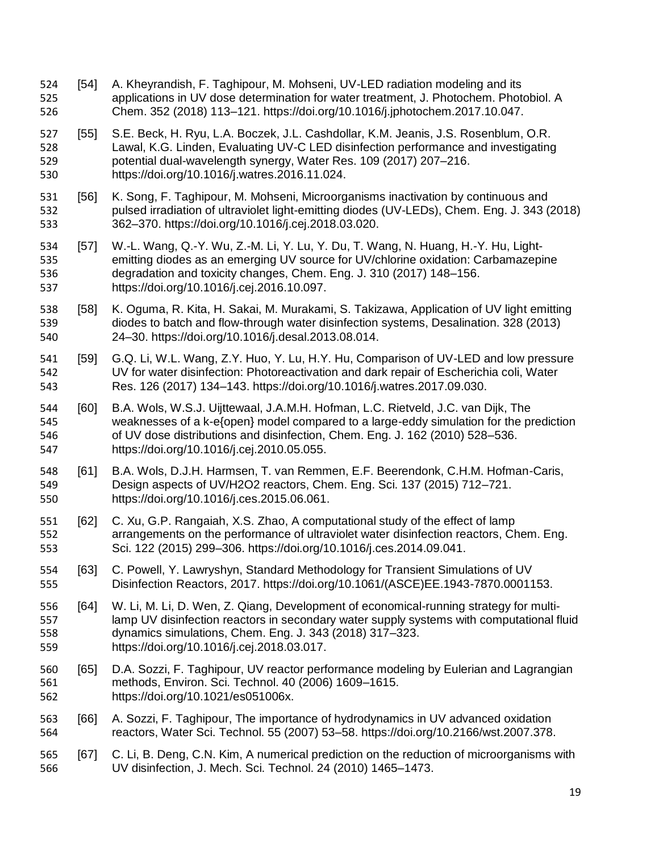- [54] A. Kheyrandish, F. Taghipour, M. Mohseni, UV-LED radiation modeling and its applications in UV dose determination for water treatment, J. Photochem. Photobiol. A Chem. 352 (2018) 113–121. https://doi.org/10.1016/j.jphotochem.2017.10.047.
- [55] S.E. Beck, H. Ryu, L.A. Boczek, J.L. Cashdollar, K.M. Jeanis, J.S. Rosenblum, O.R. Lawal, K.G. Linden, Evaluating UV-C LED disinfection performance and investigating potential dual-wavelength synergy, Water Res. 109 (2017) 207–216. https://doi.org/10.1016/j.watres.2016.11.024.
- [56] K. Song, F. Taghipour, M. Mohseni, Microorganisms inactivation by continuous and pulsed irradiation of ultraviolet light-emitting diodes (UV-LEDs), Chem. Eng. J. 343 (2018) 362–370. https://doi.org/10.1016/j.cej.2018.03.020.
- [57] W.-L. Wang, Q.-Y. Wu, Z.-M. Li, Y. Lu, Y. Du, T. Wang, N. Huang, H.-Y. Hu, Light- emitting diodes as an emerging UV source for UV/chlorine oxidation: Carbamazepine degradation and toxicity changes, Chem. Eng. J. 310 (2017) 148–156. https://doi.org/10.1016/j.cej.2016.10.097.
- 538 [58] K. Oguma, R. Kita, H. Sakai, M. Murakami, S. Takizawa, Application of UV light emitting diodes to batch and flow-through water disinfection systems, Desalination. 328 (2013) 24–30. https://doi.org/10.1016/j.desal.2013.08.014.
- [59] G.Q. Li, W.L. Wang, Z.Y. Huo, Y. Lu, H.Y. Hu, Comparison of UV-LED and low pressure UV for water disinfection: Photoreactivation and dark repair of Escherichia coli, Water Res. 126 (2017) 134–143. https://doi.org/10.1016/j.watres.2017.09.030.
- [60] B.A. Wols, W.S.J. Uijttewaal, J.A.M.H. Hofman, L.C. Rietveld, J.C. van Dijk, The weaknesses of a k-e{open} model compared to a large-eddy simulation for the prediction of UV dose distributions and disinfection, Chem. Eng. J. 162 (2010) 528–536. https://doi.org/10.1016/j.cej.2010.05.055.
- [61] B.A. Wols, D.J.H. Harmsen, T. van Remmen, E.F. Beerendonk, C.H.M. Hofman-Caris, Design aspects of UV/H2O2 reactors, Chem. Eng. Sci. 137 (2015) 712–721. https://doi.org/10.1016/j.ces.2015.06.061.
- [62] C. Xu, G.P. Rangaiah, X.S. Zhao, A computational study of the effect of lamp arrangements on the performance of ultraviolet water disinfection reactors, Chem. Eng. Sci. 122 (2015) 299–306. https://doi.org/10.1016/j.ces.2014.09.041.
- [63] C. Powell, Y. Lawryshyn, Standard Methodology for Transient Simulations of UV Disinfection Reactors, 2017. https://doi.org/10.1061/(ASCE)EE.1943-7870.0001153.
- [64] W. Li, M. Li, D. Wen, Z. Qiang, Development of economical-running strategy for multi- lamp UV disinfection reactors in secondary water supply systems with computational fluid dynamics simulations, Chem. Eng. J. 343 (2018) 317–323. https://doi.org/10.1016/j.cej.2018.03.017.
- [65] D.A. Sozzi, F. Taghipour, UV reactor performance modeling by Eulerian and Lagrangian methods, Environ. Sci. Technol. 40 (2006) 1609–1615. https://doi.org/10.1021/es051006x.
- [66] A. Sozzi, F. Taghipour, The importance of hydrodynamics in UV advanced oxidation reactors, Water Sci. Technol. 55 (2007) 53–58. https://doi.org/10.2166/wst.2007.378.

## [67] C. Li, B. Deng, C.N. Kim, A numerical prediction on the reduction of microorganisms with UV disinfection, J. Mech. Sci. Technol. 24 (2010) 1465–1473.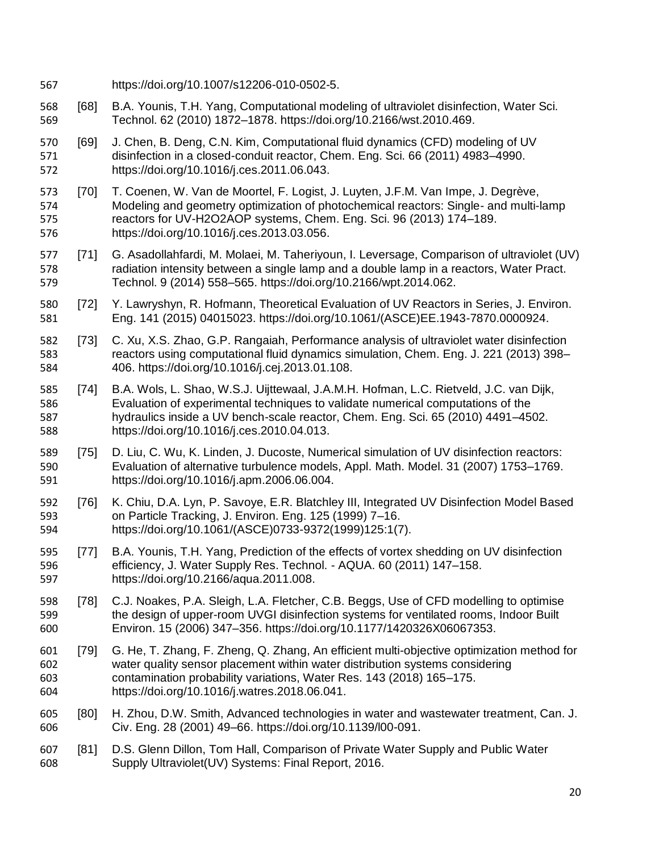- https://doi.org/10.1007/s12206-010-0502-5.
- [68] B.A. Younis, T.H. Yang, Computational modeling of ultraviolet disinfection, Water Sci. Technol. 62 (2010) 1872–1878. https://doi.org/10.2166/wst.2010.469.
- [69] J. Chen, B. Deng, C.N. Kim, Computational fluid dynamics (CFD) modeling of UV disinfection in a closed-conduit reactor, Chem. Eng. Sci. 66 (2011) 4983–4990. https://doi.org/10.1016/j.ces.2011.06.043.
- [70] T. Coenen, W. Van de Moortel, F. Logist, J. Luyten, J.F.M. Van Impe, J. Degrève, Modeling and geometry optimization of photochemical reactors: Single- and multi-lamp reactors for UV-H2O2AOP systems, Chem. Eng. Sci. 96 (2013) 174–189. https://doi.org/10.1016/j.ces.2013.03.056.
- [71] G. Asadollahfardi, M. Molaei, M. Taheriyoun, I. Leversage, Comparison of ultraviolet (UV) radiation intensity between a single lamp and a double lamp in a reactors, Water Pract. Technol. 9 (2014) 558–565. https://doi.org/10.2166/wpt.2014.062.
- [72] Y. Lawryshyn, R. Hofmann, Theoretical Evaluation of UV Reactors in Series, J. Environ. Eng. 141 (2015) 04015023. https://doi.org/10.1061/(ASCE)EE.1943-7870.0000924.
- [73] C. Xu, X.S. Zhao, G.P. Rangaiah, Performance analysis of ultraviolet water disinfection reactors using computational fluid dynamics simulation, Chem. Eng. J. 221 (2013) 398– 406. https://doi.org/10.1016/j.cej.2013.01.108.
- [74] B.A. Wols, L. Shao, W.S.J. Uijttewaal, J.A.M.H. Hofman, L.C. Rietveld, J.C. van Dijk, Evaluation of experimental techniques to validate numerical computations of the hydraulics inside a UV bench-scale reactor, Chem. Eng. Sci. 65 (2010) 4491–4502. https://doi.org/10.1016/j.ces.2010.04.013.
- [75] D. Liu, C. Wu, K. Linden, J. Ducoste, Numerical simulation of UV disinfection reactors: Evaluation of alternative turbulence models, Appl. Math. Model. 31 (2007) 1753–1769. https://doi.org/10.1016/j.apm.2006.06.004.
- [76] K. Chiu, D.A. Lyn, P. Savoye, E.R. Blatchley III, Integrated UV Disinfection Model Based on Particle Tracking, J. Environ. Eng. 125 (1999) 7–16. https://doi.org/10.1061/(ASCE)0733-9372(1999)125:1(7).
- [77] B.A. Younis, T.H. Yang, Prediction of the effects of vortex shedding on UV disinfection efficiency, J. Water Supply Res. Technol. - AQUA. 60 (2011) 147–158. https://doi.org/10.2166/aqua.2011.008.
- [78] C.J. Noakes, P.A. Sleigh, L.A. Fletcher, C.B. Beggs, Use of CFD modelling to optimise the design of upper-room UVGI disinfection systems for ventilated rooms, Indoor Built Environ. 15 (2006) 347–356. https://doi.org/10.1177/1420326X06067353.
- [79] G. He, T. Zhang, F. Zheng, Q. Zhang, An efficient multi-objective optimization method for water quality sensor placement within water distribution systems considering contamination probability variations, Water Res. 143 (2018) 165–175. https://doi.org/10.1016/j.watres.2018.06.041.
- [80] H. Zhou, D.W. Smith, Advanced technologies in water and wastewater treatment, Can. J. Civ. Eng. 28 (2001) 49–66. https://doi.org/10.1139/l00-091.
- [81] D.S. Glenn Dillon, Tom Hall, Comparison of Private Water Supply and Public Water Supply Ultraviolet(UV) Systems: Final Report, 2016.